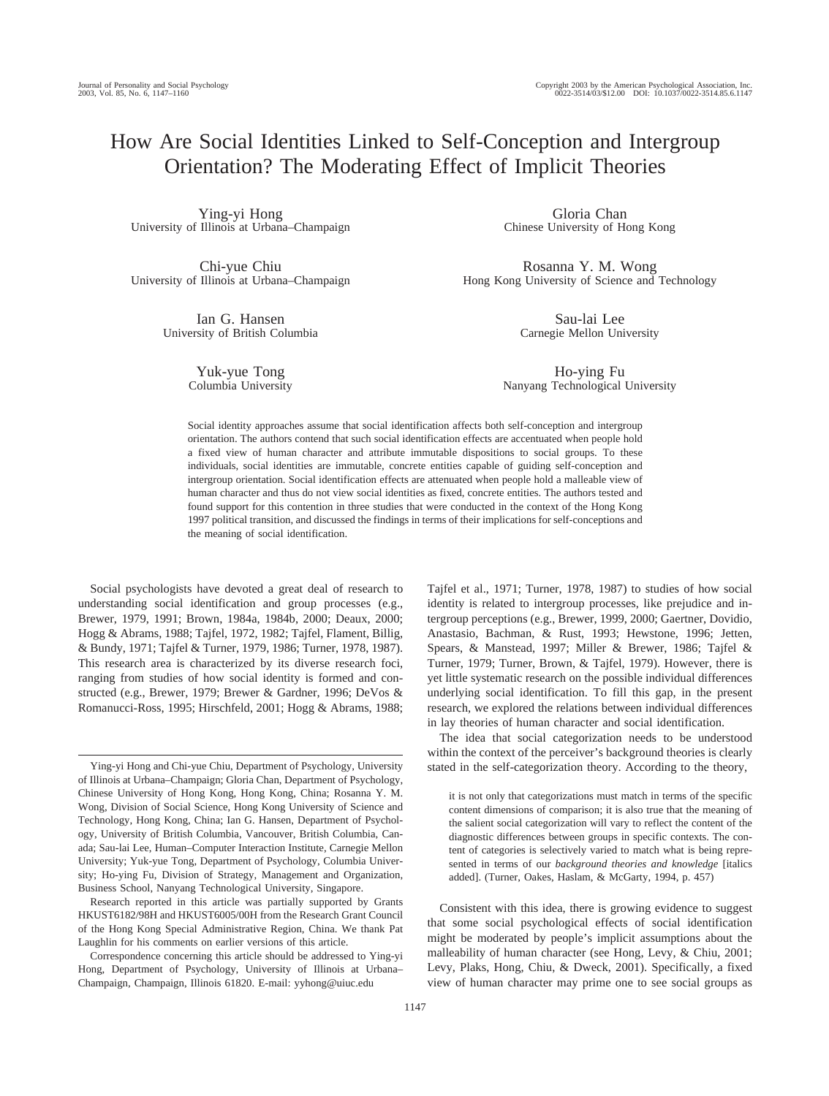# How Are Social Identities Linked to Self-Conception and Intergroup Orientation? The Moderating Effect of Implicit Theories

Ying-yi Hong University of Illinois at Urbana–Champaign

Chi-yue Chiu University of Illinois at Urbana–Champaign

> Ian G. Hansen University of British Columbia

> > Yuk-yue Tong Columbia University

Gloria Chan Chinese University of Hong Kong

Rosanna Y. M. Wong Hong Kong University of Science and Technology

> Sau-lai Lee Carnegie Mellon University

Ho-ying Fu Nanyang Technological University

Social identity approaches assume that social identification affects both self-conception and intergroup orientation. The authors contend that such social identification effects are accentuated when people hold a fixed view of human character and attribute immutable dispositions to social groups. To these individuals, social identities are immutable, concrete entities capable of guiding self-conception and intergroup orientation. Social identification effects are attenuated when people hold a malleable view of human character and thus do not view social identities as fixed, concrete entities. The authors tested and found support for this contention in three studies that were conducted in the context of the Hong Kong 1997 political transition, and discussed the findings in terms of their implications for self-conceptions and the meaning of social identification.

Social psychologists have devoted a great deal of research to understanding social identification and group processes (e.g., Brewer, 1979, 1991; Brown, 1984a, 1984b, 2000; Deaux, 2000; Hogg & Abrams, 1988; Tajfel, 1972, 1982; Tajfel, Flament, Billig, & Bundy, 1971; Tajfel & Turner, 1979, 1986; Turner, 1978, 1987). This research area is characterized by its diverse research foci, ranging from studies of how social identity is formed and constructed (e.g., Brewer, 1979; Brewer & Gardner, 1996; DeVos & Romanucci-Ross, 1995; Hirschfeld, 2001; Hogg & Abrams, 1988;

Ying-yi Hong and Chi-yue Chiu, Department of Psychology, University of Illinois at Urbana–Champaign; Gloria Chan, Department of Psychology, Chinese University of Hong Kong, Hong Kong, China; Rosanna Y. M. Wong, Division of Social Science, Hong Kong University of Science and Technology, Hong Kong, China; Ian G. Hansen, Department of Psychology, University of British Columbia, Vancouver, British Columbia, Canada; Sau-lai Lee, Human–Computer Interaction Institute, Carnegie Mellon University; Yuk-yue Tong, Department of Psychology, Columbia University; Ho-ying Fu, Division of Strategy, Management and Organization, Business School, Nanyang Technological University, Singapore.

Research reported in this article was partially supported by Grants HKUST6182/98H and HKUST6005/00H from the Research Grant Council of the Hong Kong Special Administrative Region, China. We thank Pat Laughlin for his comments on earlier versions of this article.

Correspondence concerning this article should be addressed to Ying-yi Hong, Department of Psychology, University of Illinois at Urbana– Champaign, Champaign, Illinois 61820. E-mail: yyhong@uiuc.edu

Tajfel et al., 1971; Turner, 1978, 1987) to studies of how social identity is related to intergroup processes, like prejudice and intergroup perceptions (e.g., Brewer, 1999, 2000; Gaertner, Dovidio, Anastasio, Bachman, & Rust, 1993; Hewstone, 1996; Jetten, Spears, & Manstead, 1997; Miller & Brewer, 1986; Tajfel & Turner, 1979; Turner, Brown, & Tajfel, 1979). However, there is yet little systematic research on the possible individual differences underlying social identification. To fill this gap, in the present research, we explored the relations between individual differences in lay theories of human character and social identification.

The idea that social categorization needs to be understood within the context of the perceiver's background theories is clearly stated in the self-categorization theory. According to the theory,

it is not only that categorizations must match in terms of the specific content dimensions of comparison; it is also true that the meaning of the salient social categorization will vary to reflect the content of the diagnostic differences between groups in specific contexts. The content of categories is selectively varied to match what is being represented in terms of our *background theories and knowledge* [italics added]. (Turner, Oakes, Haslam, & McGarty, 1994, p. 457)

Consistent with this idea, there is growing evidence to suggest that some social psychological effects of social identification might be moderated by people's implicit assumptions about the malleability of human character (see Hong, Levy, & Chiu, 2001; Levy, Plaks, Hong, Chiu, & Dweck, 2001). Specifically, a fixed view of human character may prime one to see social groups as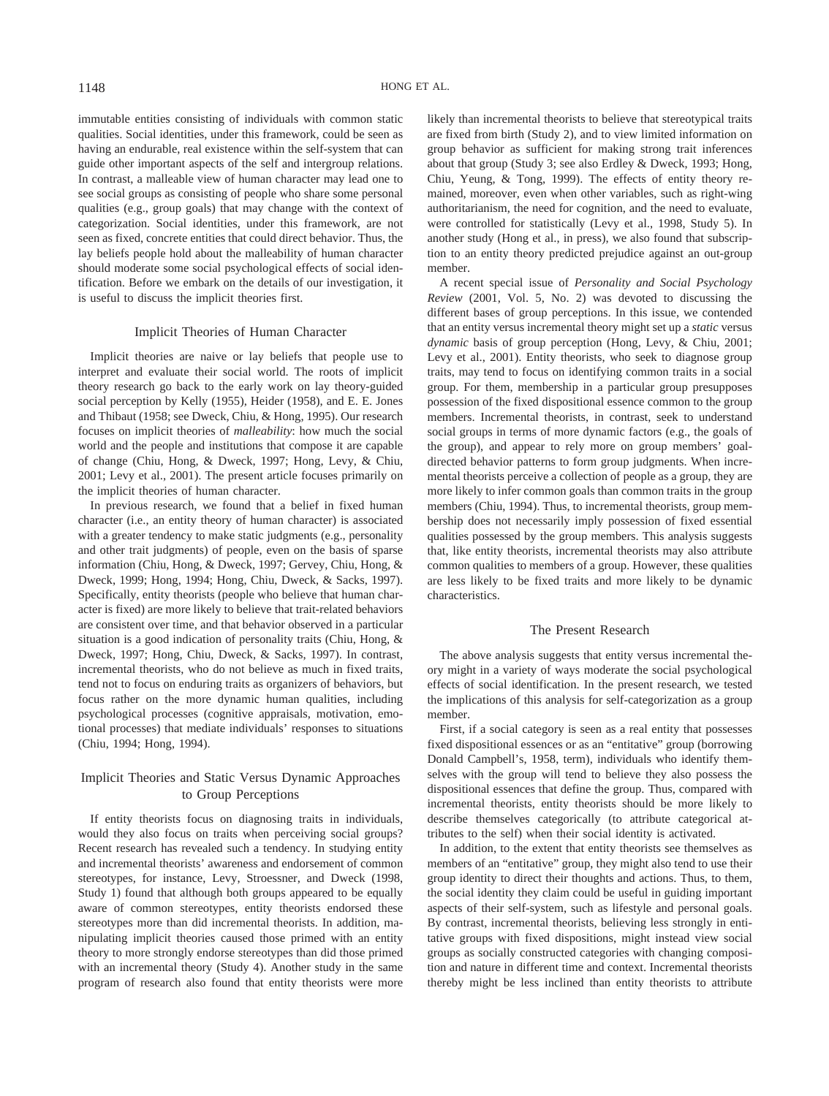immutable entities consisting of individuals with common static qualities. Social identities, under this framework, could be seen as having an endurable, real existence within the self-system that can guide other important aspects of the self and intergroup relations. In contrast, a malleable view of human character may lead one to see social groups as consisting of people who share some personal qualities (e.g., group goals) that may change with the context of categorization. Social identities, under this framework, are not seen as fixed, concrete entities that could direct behavior. Thus, the lay beliefs people hold about the malleability of human character should moderate some social psychological effects of social identification. Before we embark on the details of our investigation, it is useful to discuss the implicit theories first.

## Implicit Theories of Human Character

Implicit theories are naive or lay beliefs that people use to interpret and evaluate their social world. The roots of implicit theory research go back to the early work on lay theory-guided social perception by Kelly (1955), Heider (1958), and E. E. Jones and Thibaut (1958; see Dweck, Chiu, & Hong, 1995). Our research focuses on implicit theories of *malleability*: how much the social world and the people and institutions that compose it are capable of change (Chiu, Hong, & Dweck, 1997; Hong, Levy, & Chiu, 2001; Levy et al., 2001). The present article focuses primarily on the implicit theories of human character.

In previous research, we found that a belief in fixed human character (i.e., an entity theory of human character) is associated with a greater tendency to make static judgments (e.g., personality and other trait judgments) of people, even on the basis of sparse information (Chiu, Hong, & Dweck, 1997; Gervey, Chiu, Hong, & Dweck, 1999; Hong, 1994; Hong, Chiu, Dweck, & Sacks, 1997). Specifically, entity theorists (people who believe that human character is fixed) are more likely to believe that trait-related behaviors are consistent over time, and that behavior observed in a particular situation is a good indication of personality traits (Chiu, Hong, & Dweck, 1997; Hong, Chiu, Dweck, & Sacks, 1997). In contrast, incremental theorists, who do not believe as much in fixed traits, tend not to focus on enduring traits as organizers of behaviors, but focus rather on the more dynamic human qualities, including psychological processes (cognitive appraisals, motivation, emotional processes) that mediate individuals' responses to situations (Chiu, 1994; Hong, 1994).

# Implicit Theories and Static Versus Dynamic Approaches to Group Perceptions

If entity theorists focus on diagnosing traits in individuals, would they also focus on traits when perceiving social groups? Recent research has revealed such a tendency. In studying entity and incremental theorists' awareness and endorsement of common stereotypes, for instance, Levy, Stroessner, and Dweck (1998, Study 1) found that although both groups appeared to be equally aware of common stereotypes, entity theorists endorsed these stereotypes more than did incremental theorists. In addition, manipulating implicit theories caused those primed with an entity theory to more strongly endorse stereotypes than did those primed with an incremental theory (Study 4). Another study in the same program of research also found that entity theorists were more likely than incremental theorists to believe that stereotypical traits are fixed from birth (Study 2), and to view limited information on group behavior as sufficient for making strong trait inferences about that group (Study 3; see also Erdley & Dweck, 1993; Hong, Chiu, Yeung, & Tong, 1999). The effects of entity theory remained, moreover, even when other variables, such as right-wing authoritarianism, the need for cognition, and the need to evaluate, were controlled for statistically (Levy et al., 1998, Study 5). In another study (Hong et al., in press), we also found that subscription to an entity theory predicted prejudice against an out-group member.

A recent special issue of *Personality and Social Psychology Review* (2001, Vol. 5, No. 2) was devoted to discussing the different bases of group perceptions. In this issue, we contended that an entity versus incremental theory might set up a *static* versus *dynamic* basis of group perception (Hong, Levy, & Chiu, 2001; Levy et al., 2001). Entity theorists, who seek to diagnose group traits, may tend to focus on identifying common traits in a social group. For them, membership in a particular group presupposes possession of the fixed dispositional essence common to the group members. Incremental theorists, in contrast, seek to understand social groups in terms of more dynamic factors (e.g., the goals of the group), and appear to rely more on group members' goaldirected behavior patterns to form group judgments. When incremental theorists perceive a collection of people as a group, they are more likely to infer common goals than common traits in the group members (Chiu, 1994). Thus, to incremental theorists, group membership does not necessarily imply possession of fixed essential qualities possessed by the group members. This analysis suggests that, like entity theorists, incremental theorists may also attribute common qualities to members of a group. However, these qualities are less likely to be fixed traits and more likely to be dynamic characteristics.

## The Present Research

The above analysis suggests that entity versus incremental theory might in a variety of ways moderate the social psychological effects of social identification. In the present research, we tested the implications of this analysis for self-categorization as a group member.

First, if a social category is seen as a real entity that possesses fixed dispositional essences or as an "entitative" group (borrowing Donald Campbell's, 1958, term), individuals who identify themselves with the group will tend to believe they also possess the dispositional essences that define the group. Thus, compared with incremental theorists, entity theorists should be more likely to describe themselves categorically (to attribute categorical attributes to the self) when their social identity is activated.

In addition, to the extent that entity theorists see themselves as members of an "entitative" group, they might also tend to use their group identity to direct their thoughts and actions. Thus, to them, the social identity they claim could be useful in guiding important aspects of their self-system, such as lifestyle and personal goals. By contrast, incremental theorists, believing less strongly in entitative groups with fixed dispositions, might instead view social groups as socially constructed categories with changing composition and nature in different time and context. Incremental theorists thereby might be less inclined than entity theorists to attribute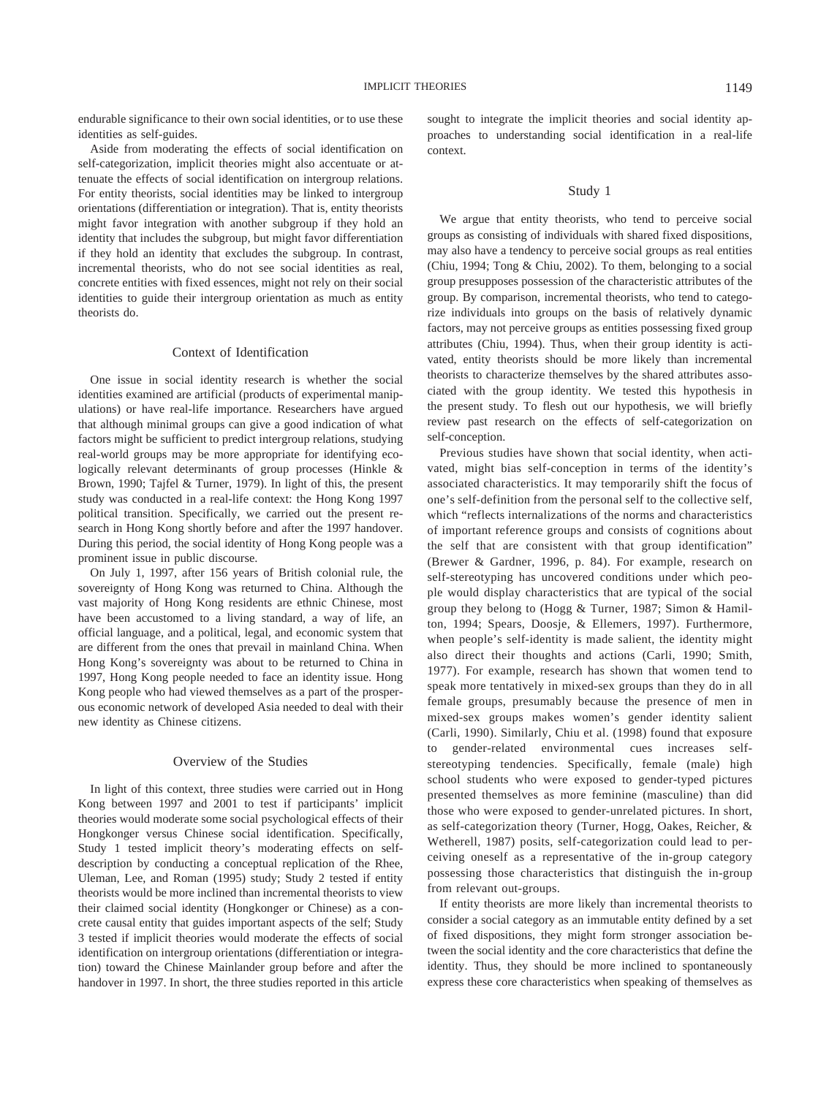endurable significance to their own social identities, or to use these identities as self-guides.

Aside from moderating the effects of social identification on self-categorization, implicit theories might also accentuate or attenuate the effects of social identification on intergroup relations. For entity theorists, social identities may be linked to intergroup orientations (differentiation or integration). That is, entity theorists might favor integration with another subgroup if they hold an identity that includes the subgroup, but might favor differentiation if they hold an identity that excludes the subgroup. In contrast, incremental theorists, who do not see social identities as real, concrete entities with fixed essences, might not rely on their social identities to guide their intergroup orientation as much as entity theorists do.

## Context of Identification

One issue in social identity research is whether the social identities examined are artificial (products of experimental manipulations) or have real-life importance. Researchers have argued that although minimal groups can give a good indication of what factors might be sufficient to predict intergroup relations, studying real-world groups may be more appropriate for identifying ecologically relevant determinants of group processes (Hinkle & Brown, 1990; Tajfel & Turner, 1979). In light of this, the present study was conducted in a real-life context: the Hong Kong 1997 political transition. Specifically, we carried out the present research in Hong Kong shortly before and after the 1997 handover. During this period, the social identity of Hong Kong people was a prominent issue in public discourse.

On July 1, 1997, after 156 years of British colonial rule, the sovereignty of Hong Kong was returned to China. Although the vast majority of Hong Kong residents are ethnic Chinese, most have been accustomed to a living standard, a way of life, an official language, and a political, legal, and economic system that are different from the ones that prevail in mainland China. When Hong Kong's sovereignty was about to be returned to China in 1997, Hong Kong people needed to face an identity issue. Hong Kong people who had viewed themselves as a part of the prosperous economic network of developed Asia needed to deal with their new identity as Chinese citizens.

## Overview of the Studies

In light of this context, three studies were carried out in Hong Kong between 1997 and 2001 to test if participants' implicit theories would moderate some social psychological effects of their Hongkonger versus Chinese social identification. Specifically, Study 1 tested implicit theory's moderating effects on selfdescription by conducting a conceptual replication of the Rhee, Uleman, Lee, and Roman (1995) study; Study 2 tested if entity theorists would be more inclined than incremental theorists to view their claimed social identity (Hongkonger or Chinese) as a concrete causal entity that guides important aspects of the self; Study 3 tested if implicit theories would moderate the effects of social identification on intergroup orientations (differentiation or integration) toward the Chinese Mainlander group before and after the handover in 1997. In short, the three studies reported in this article sought to integrate the implicit theories and social identity approaches to understanding social identification in a real-life context.

# Study 1

We argue that entity theorists, who tend to perceive social groups as consisting of individuals with shared fixed dispositions, may also have a tendency to perceive social groups as real entities (Chiu, 1994; Tong & Chiu, 2002). To them, belonging to a social group presupposes possession of the characteristic attributes of the group. By comparison, incremental theorists, who tend to categorize individuals into groups on the basis of relatively dynamic factors, may not perceive groups as entities possessing fixed group attributes (Chiu, 1994). Thus, when their group identity is activated, entity theorists should be more likely than incremental theorists to characterize themselves by the shared attributes associated with the group identity. We tested this hypothesis in the present study. To flesh out our hypothesis, we will briefly review past research on the effects of self-categorization on self-conception.

Previous studies have shown that social identity, when activated, might bias self-conception in terms of the identity's associated characteristics. It may temporarily shift the focus of one's self-definition from the personal self to the collective self, which "reflects internalizations of the norms and characteristics of important reference groups and consists of cognitions about the self that are consistent with that group identification" (Brewer & Gardner, 1996, p. 84). For example, research on self-stereotyping has uncovered conditions under which people would display characteristics that are typical of the social group they belong to (Hogg & Turner, 1987; Simon & Hamilton, 1994; Spears, Doosje, & Ellemers, 1997). Furthermore, when people's self-identity is made salient, the identity might also direct their thoughts and actions (Carli, 1990; Smith, 1977). For example, research has shown that women tend to speak more tentatively in mixed-sex groups than they do in all female groups, presumably because the presence of men in mixed-sex groups makes women's gender identity salient (Carli, 1990). Similarly, Chiu et al. (1998) found that exposure to gender-related environmental cues increases selfstereotyping tendencies. Specifically, female (male) high school students who were exposed to gender-typed pictures presented themselves as more feminine (masculine) than did those who were exposed to gender-unrelated pictures. In short, as self-categorization theory (Turner, Hogg, Oakes, Reicher, & Wetherell, 1987) posits, self-categorization could lead to perceiving oneself as a representative of the in-group category possessing those characteristics that distinguish the in-group from relevant out-groups.

If entity theorists are more likely than incremental theorists to consider a social category as an immutable entity defined by a set of fixed dispositions, they might form stronger association between the social identity and the core characteristics that define the identity. Thus, they should be more inclined to spontaneously express these core characteristics when speaking of themselves as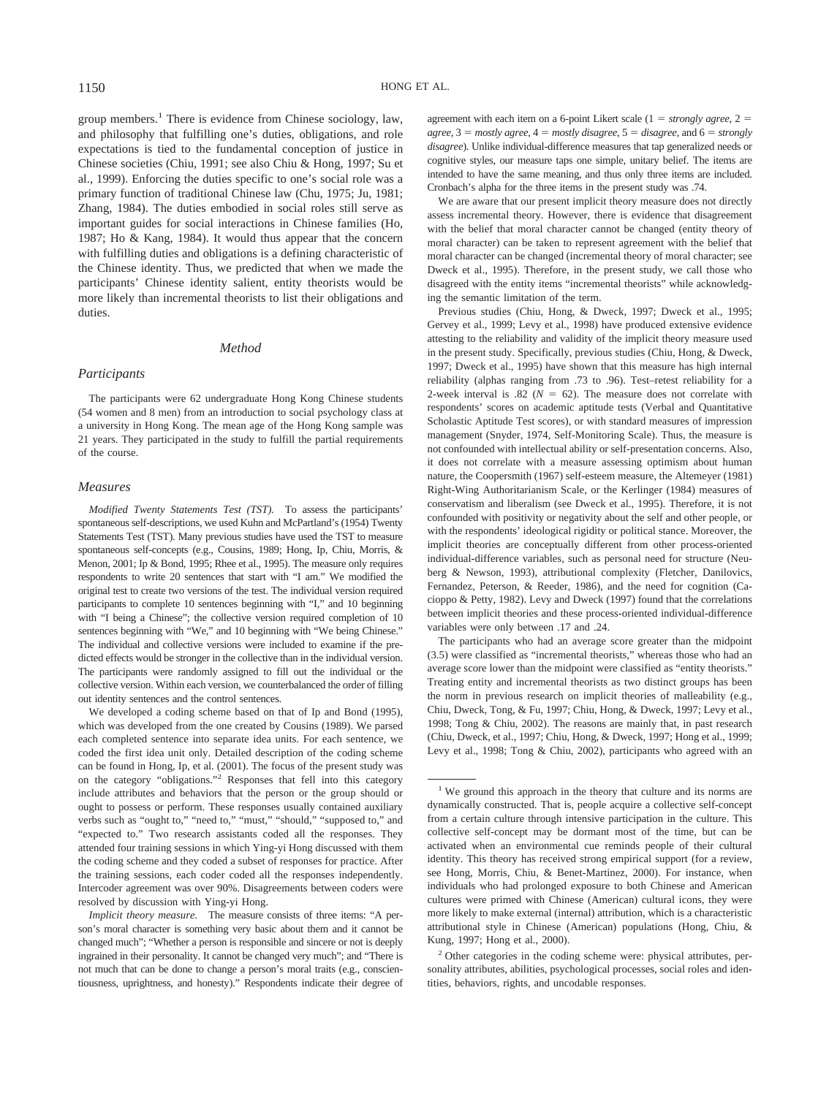group members.<sup>1</sup> There is evidence from Chinese sociology, law, and philosophy that fulfilling one's duties, obligations, and role expectations is tied to the fundamental conception of justice in Chinese societies (Chiu, 1991; see also Chiu & Hong, 1997; Su et al., 1999). Enforcing the duties specific to one's social role was a primary function of traditional Chinese law (Chu, 1975; Ju, 1981; Zhang, 1984). The duties embodied in social roles still serve as important guides for social interactions in Chinese families (Ho, 1987; Ho & Kang, 1984). It would thus appear that the concern with fulfilling duties and obligations is a defining characteristic of the Chinese identity. Thus, we predicted that when we made the participants' Chinese identity salient, entity theorists would be more likely than incremental theorists to list their obligations and duties.

# *Method*

## *Participants*

The participants were 62 undergraduate Hong Kong Chinese students (54 women and 8 men) from an introduction to social psychology class at a university in Hong Kong. The mean age of the Hong Kong sample was 21 years. They participated in the study to fulfill the partial requirements of the course.

## *Measures*

*Modified Twenty Statements Test (TST).* To assess the participants' spontaneous self-descriptions, we used Kuhn and McPartland's (1954) Twenty Statements Test (TST). Many previous studies have used the TST to measure spontaneous self-concepts (e.g., Cousins, 1989; Hong, Ip, Chiu, Morris, & Menon, 2001; Ip & Bond, 1995; Rhee et al., 1995). The measure only requires respondents to write 20 sentences that start with "I am." We modified the original test to create two versions of the test. The individual version required participants to complete 10 sentences beginning with "I," and 10 beginning with "I being a Chinese"; the collective version required completion of 10 sentences beginning with "We," and 10 beginning with "We being Chinese." The individual and collective versions were included to examine if the predicted effects would be stronger in the collective than in the individual version. The participants were randomly assigned to fill out the individual or the collective version. Within each version, we counterbalanced the order of filling out identity sentences and the control sentences.

We developed a coding scheme based on that of Ip and Bond (1995), which was developed from the one created by Cousins (1989). We parsed each completed sentence into separate idea units. For each sentence, we coded the first idea unit only. Detailed description of the coding scheme can be found in Hong, Ip, et al. (2001). The focus of the present study was on the category "obligations."2 Responses that fell into this category include attributes and behaviors that the person or the group should or ought to possess or perform. These responses usually contained auxiliary verbs such as "ought to," "need to," "must," "should," "supposed to," and "expected to." Two research assistants coded all the responses. They attended four training sessions in which Ying-yi Hong discussed with them the coding scheme and they coded a subset of responses for practice. After the training sessions, each coder coded all the responses independently. Intercoder agreement was over 90%. Disagreements between coders were resolved by discussion with Ying-yi Hong.

agreement with each item on a 6-point Likert scale  $(1 = strongly \ agree, 2 =$  $agree, 3 = mostly agree, 4 = mostly disagree, 5 = disagree, and 6 = strongly$ *disagree*). Unlike individual-difference measures that tap generalized needs or cognitive styles, our measure taps one simple, unitary belief. The items are intended to have the same meaning, and thus only three items are included. Cronbach's alpha for the three items in the present study was .74.

We are aware that our present implicit theory measure does not directly assess incremental theory. However, there is evidence that disagreement with the belief that moral character cannot be changed (entity theory of moral character) can be taken to represent agreement with the belief that moral character can be changed (incremental theory of moral character; see Dweck et al., 1995). Therefore, in the present study, we call those who disagreed with the entity items "incremental theorists" while acknowledging the semantic limitation of the term.

Previous studies (Chiu, Hong, & Dweck, 1997; Dweck et al., 1995; Gervey et al., 1999; Levy et al., 1998) have produced extensive evidence attesting to the reliability and validity of the implicit theory measure used in the present study. Specifically, previous studies (Chiu, Hong, & Dweck, 1997; Dweck et al., 1995) have shown that this measure has high internal reliability (alphas ranging from .73 to .96). Test–retest reliability for a 2-week interval is .82 ( $N = 62$ ). The measure does not correlate with respondents' scores on academic aptitude tests (Verbal and Quantitative Scholastic Aptitude Test scores), or with standard measures of impression management (Snyder, 1974, Self-Monitoring Scale). Thus, the measure is not confounded with intellectual ability or self-presentation concerns. Also, it does not correlate with a measure assessing optimism about human nature, the Coopersmith (1967) self-esteem measure, the Altemeyer (1981) Right-Wing Authoritarianism Scale, or the Kerlinger (1984) measures of conservatism and liberalism (see Dweck et al., 1995). Therefore, it is not confounded with positivity or negativity about the self and other people, or with the respondents' ideological rigidity or political stance. Moreover, the implicit theories are conceptually different from other process-oriented individual-difference variables, such as personal need for structure (Neuberg & Newson, 1993), attributional complexity (Fletcher, Danilovics, Fernandez, Peterson, & Reeder, 1986), and the need for cognition (Cacioppo & Petty, 1982). Levy and Dweck (1997) found that the correlations between implicit theories and these process-oriented individual-difference variables were only between .17 and .24.

The participants who had an average score greater than the midpoint (3.5) were classified as "incremental theorists," whereas those who had an average score lower than the midpoint were classified as "entity theorists." Treating entity and incremental theorists as two distinct groups has been the norm in previous research on implicit theories of malleability (e.g., Chiu, Dweck, Tong, & Fu, 1997; Chiu, Hong, & Dweck, 1997; Levy et al., 1998; Tong & Chiu, 2002). The reasons are mainly that, in past research (Chiu, Dweck, et al., 1997; Chiu, Hong, & Dweck, 1997; Hong et al., 1999; Levy et al., 1998; Tong & Chiu, 2002), participants who agreed with an

*Implicit theory measure.* The measure consists of three items: "A person's moral character is something very basic about them and it cannot be changed much"; "Whether a person is responsible and sincere or not is deeply ingrained in their personality. It cannot be changed very much"; and "There is not much that can be done to change a person's moral traits (e.g., conscientiousness, uprightness, and honesty)." Respondents indicate their degree of

<sup>&</sup>lt;sup>1</sup> We ground this approach in the theory that culture and its norms are dynamically constructed. That is, people acquire a collective self-concept from a certain culture through intensive participation in the culture. This collective self-concept may be dormant most of the time, but can be activated when an environmental cue reminds people of their cultural identity. This theory has received strong empirical support (for a review, see Hong, Morris, Chiu, & Benet-Martinez, 2000). For instance, when individuals who had prolonged exposure to both Chinese and American cultures were primed with Chinese (American) cultural icons, they were more likely to make external (internal) attribution, which is a characteristic attributional style in Chinese (American) populations (Hong, Chiu, & Kung, 1997; Hong et al., 2000).

<sup>2</sup> Other categories in the coding scheme were: physical attributes, personality attributes, abilities, psychological processes, social roles and identities, behaviors, rights, and uncodable responses.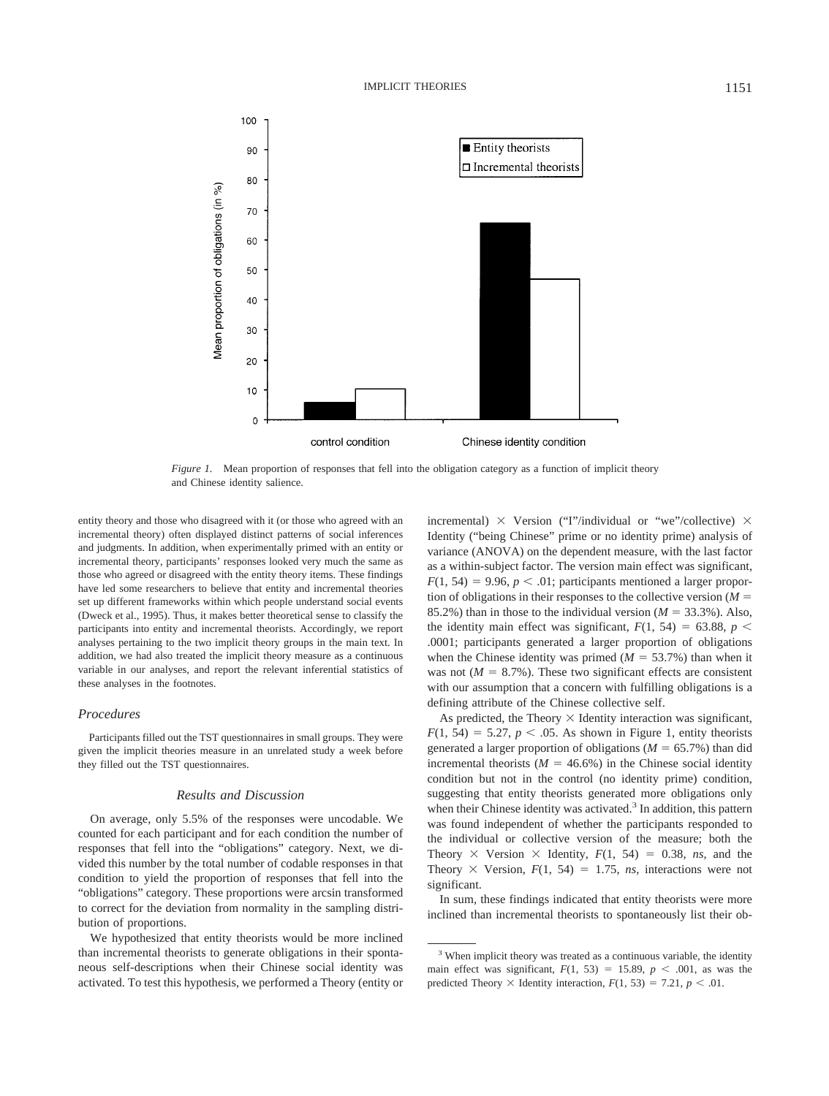

*Figure 1.* Mean proportion of responses that fell into the obligation category as a function of implicit theory and Chinese identity salience.

entity theory and those who disagreed with it (or those who agreed with an incremental theory) often displayed distinct patterns of social inferences and judgments. In addition, when experimentally primed with an entity or incremental theory, participants' responses looked very much the same as those who agreed or disagreed with the entity theory items. These findings have led some researchers to believe that entity and incremental theories set up different frameworks within which people understand social events (Dweck et al., 1995). Thus, it makes better theoretical sense to classify the participants into entity and incremental theorists. Accordingly, we report analyses pertaining to the two implicit theory groups in the main text. In addition, we had also treated the implicit theory measure as a continuous variable in our analyses, and report the relevant inferential statistics of these analyses in the footnotes.

## *Procedures*

Participants filled out the TST questionnaires in small groups. They were given the implicit theories measure in an unrelated study a week before they filled out the TST questionnaires.

# *Results and Discussion*

On average, only 5.5% of the responses were uncodable. We counted for each participant and for each condition the number of responses that fell into the "obligations" category. Next, we divided this number by the total number of codable responses in that condition to yield the proportion of responses that fell into the "obligations" category. These proportions were arcsin transformed to correct for the deviation from normality in the sampling distribution of proportions.

We hypothesized that entity theorists would be more inclined than incremental theorists to generate obligations in their spontaneous self-descriptions when their Chinese social identity was activated. To test this hypothesis, we performed a Theory (entity or

incremental)  $\times$  Version ("I"/individual or "we"/collective)  $\times$ Identity ("being Chinese" prime or no identity prime) analysis of variance (ANOVA) on the dependent measure, with the last factor as a within-subject factor. The version main effect was significant,  $F(1, 54) = 9.96$ ,  $p < .01$ ; participants mentioned a larger proportion of obligations in their responses to the collective version (*M* 85.2%) than in those to the individual version  $(M = 33.3\%)$ . Also, the identity main effect was significant,  $F(1, 54) = 63.88$ ,  $p <$ .0001; participants generated a larger proportion of obligations when the Chinese identity was primed  $(M = 53.7\%)$  than when it was not  $(M = 8.7\%)$ . These two significant effects are consistent with our assumption that a concern with fulfilling obligations is a defining attribute of the Chinese collective self.

As predicted, the Theory  $\times$  Identity interaction was significant,  $F(1, 54) = 5.27$ ,  $p < .05$ . As shown in Figure 1, entity theorists generated a larger proportion of obligations ( $M = 65.7\%$ ) than did incremental theorists ( $M = 46.6\%$ ) in the Chinese social identity condition but not in the control (no identity prime) condition, suggesting that entity theorists generated more obligations only when their Chinese identity was activated. $3$  In addition, this pattern was found independent of whether the participants responded to the individual or collective version of the measure; both the Theory  $\times$  Version  $\times$  Identity,  $F(1, 54) = 0.38$ , *ns*, and the Theory  $\times$  Version,  $F(1, 54) = 1.75$ , *ns*, interactions were not significant.

In sum, these findings indicated that entity theorists were more inclined than incremental theorists to spontaneously list their ob-

<sup>&</sup>lt;sup>3</sup> When implicit theory was treated as a continuous variable, the identity main effect was significant,  $F(1, 53) = 15.89$ ,  $p < .001$ , as was the predicted Theory  $\times$  Identity interaction,  $F(1, 53) = 7.21$ ,  $p < .01$ .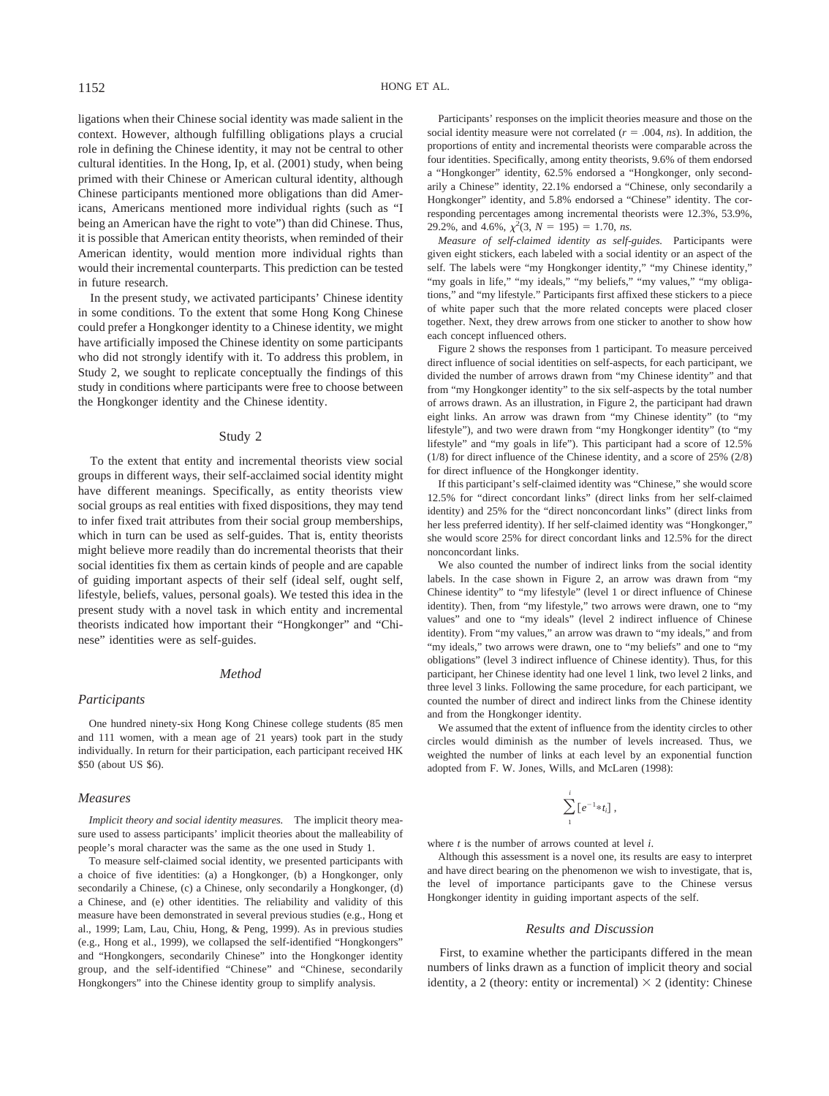ligations when their Chinese social identity was made salient in the context. However, although fulfilling obligations plays a crucial role in defining the Chinese identity, it may not be central to other cultural identities. In the Hong, Ip, et al. (2001) study, when being primed with their Chinese or American cultural identity, although Chinese participants mentioned more obligations than did Americans, Americans mentioned more individual rights (such as "I being an American have the right to vote") than did Chinese. Thus, it is possible that American entity theorists, when reminded of their American identity, would mention more individual rights than would their incremental counterparts. This prediction can be tested in future research.

In the present study, we activated participants' Chinese identity in some conditions. To the extent that some Hong Kong Chinese could prefer a Hongkonger identity to a Chinese identity, we might have artificially imposed the Chinese identity on some participants who did not strongly identify with it. To address this problem, in Study 2, we sought to replicate conceptually the findings of this study in conditions where participants were free to choose between the Hongkonger identity and the Chinese identity.

## Study 2

To the extent that entity and incremental theorists view social groups in different ways, their self-acclaimed social identity might have different meanings. Specifically, as entity theorists view social groups as real entities with fixed dispositions, they may tend to infer fixed trait attributes from their social group memberships, which in turn can be used as self-guides. That is, entity theorists might believe more readily than do incremental theorists that their social identities fix them as certain kinds of people and are capable of guiding important aspects of their self (ideal self, ought self, lifestyle, beliefs, values, personal goals). We tested this idea in the present study with a novel task in which entity and incremental theorists indicated how important their "Hongkonger" and "Chinese" identities were as self-guides.

# *Method*

#### *Participants*

One hundred ninety-six Hong Kong Chinese college students (85 men and 111 women, with a mean age of 21 years) took part in the study individually. In return for their participation, each participant received HK \$50 (about US \$6).

#### *Measures*

*Implicit theory and social identity measures.* The implicit theory measure used to assess participants' implicit theories about the malleability of people's moral character was the same as the one used in Study 1.

To measure self-claimed social identity, we presented participants with a choice of five identities: (a) a Hongkonger, (b) a Hongkonger, only secondarily a Chinese, (c) a Chinese, only secondarily a Hongkonger, (d) a Chinese, and (e) other identities. The reliability and validity of this measure have been demonstrated in several previous studies (e.g., Hong et al., 1999; Lam, Lau, Chiu, Hong, & Peng, 1999). As in previous studies (e.g., Hong et al., 1999), we collapsed the self-identified "Hongkongers" and "Hongkongers, secondarily Chinese" into the Hongkonger identity group, and the self-identified "Chinese" and "Chinese, secondarily Hongkongers" into the Chinese identity group to simplify analysis.

Participants' responses on the implicit theories measure and those on the social identity measure were not correlated  $(r = .004, ns)$ . In addition, the proportions of entity and incremental theorists were comparable across the four identities. Specifically, among entity theorists, 9.6% of them endorsed a "Hongkonger" identity, 62.5% endorsed a "Hongkonger, only secondarily a Chinese" identity, 22.1% endorsed a "Chinese, only secondarily a Hongkonger" identity, and 5.8% endorsed a "Chinese" identity. The corresponding percentages among incremental theorists were 12.3%, 53.9%, 29.2%, and 4.6%,  $\chi^2(3, N = 195) = 1.70$ , *ns.* 

*Measure of self-claimed identity as self-guides.* Participants were given eight stickers, each labeled with a social identity or an aspect of the self. The labels were "my Hongkonger identity," "my Chinese identity," "my goals in life," "my ideals," "my beliefs," "my values," "my obligations," and "my lifestyle." Participants first affixed these stickers to a piece of white paper such that the more related concepts were placed closer together. Next, they drew arrows from one sticker to another to show how each concept influenced others.

Figure 2 shows the responses from 1 participant. To measure perceived direct influence of social identities on self-aspects, for each participant, we divided the number of arrows drawn from "my Chinese identity" and that from "my Hongkonger identity" to the six self-aspects by the total number of arrows drawn. As an illustration, in Figure 2, the participant had drawn eight links. An arrow was drawn from "my Chinese identity" (to "my lifestyle"), and two were drawn from "my Hongkonger identity" (to "my lifestyle" and "my goals in life"). This participant had a score of 12.5% (1/8) for direct influence of the Chinese identity, and a score of 25% (2/8) for direct influence of the Hongkonger identity.

If this participant's self-claimed identity was "Chinese," she would score 12.5% for "direct concordant links" (direct links from her self-claimed identity) and 25% for the "direct nonconcordant links" (direct links from her less preferred identity). If her self-claimed identity was "Hongkonger," she would score 25% for direct concordant links and 12.5% for the direct nonconcordant links.

We also counted the number of indirect links from the social identity labels. In the case shown in Figure 2, an arrow was drawn from "my Chinese identity" to "my lifestyle" (level 1 or direct influence of Chinese identity). Then, from "my lifestyle," two arrows were drawn, one to "my values" and one to "my ideals" (level 2 indirect influence of Chinese identity). From "my values," an arrow was drawn to "my ideals," and from "my ideals," two arrows were drawn, one to "my beliefs" and one to "my obligations" (level 3 indirect influence of Chinese identity). Thus, for this participant, her Chinese identity had one level 1 link, two level 2 links, and three level 3 links. Following the same procedure, for each participant, we counted the number of direct and indirect links from the Chinese identity and from the Hongkonger identity.

We assumed that the extent of influence from the identity circles to other circles would diminish as the number of levels increased. Thus, we weighted the number of links at each level by an exponential function adopted from F. W. Jones, Wills, and McLaren (1998):

$$
\sum_1^i [e^{-1} * t_i],
$$

where *t* is the number of arrows counted at level *i*.

Although this assessment is a novel one, its results are easy to interpret and have direct bearing on the phenomenon we wish to investigate, that is, the level of importance participants gave to the Chinese versus Hongkonger identity in guiding important aspects of the self.

#### *Results and Discussion*

First, to examine whether the participants differed in the mean numbers of links drawn as a function of implicit theory and social identity, a 2 (theory: entity or incremental)  $\times$  2 (identity: Chinese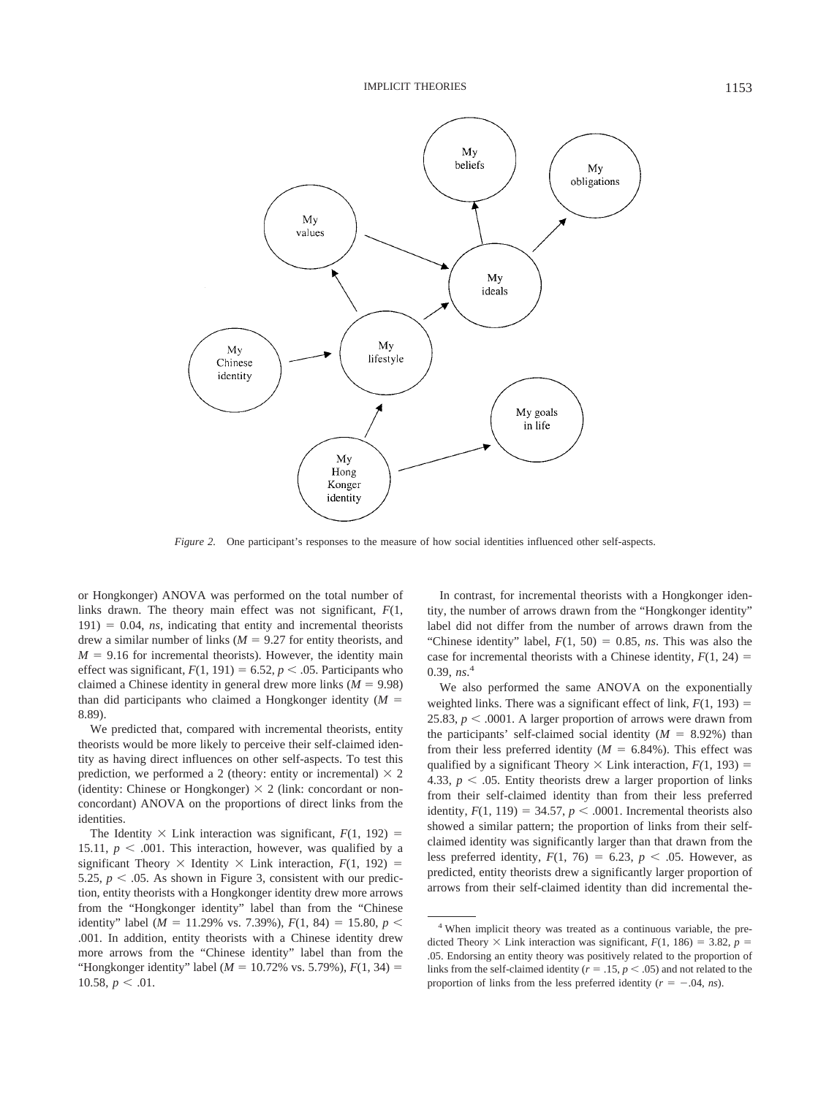

*Figure 2.* One participant's responses to the measure of how social identities influenced other self-aspects.

or Hongkonger) ANOVA was performed on the total number of links drawn. The theory main effect was not significant, *F*(1,  $191$ ) = 0.04, *ns*, indicating that entity and incremental theorists drew a similar number of links  $(M = 9.27$  for entity theorists, and  $M = 9.16$  for incremental theorists). However, the identity main effect was significant,  $F(1, 191) = 6.52$ ,  $p < .05$ . Participants who claimed a Chinese identity in general drew more links  $(M = 9.98)$ than did participants who claimed a Hongkonger identity (*M* 8.89).

We predicted that, compared with incremental theorists, entity theorists would be more likely to perceive their self-claimed identity as having direct influences on other self-aspects. To test this prediction, we performed a 2 (theory: entity or incremental)  $\times$  2 (identity: Chinese or Hongkonger)  $\times$  2 (link: concordant or nonconcordant) ANOVA on the proportions of direct links from the identities.

The Identity  $\times$  Link interaction was significant,  $F(1, 192) =$ 15.11,  $p < .001$ . This interaction, however, was qualified by a significant Theory  $\times$  Identity  $\times$  Link interaction,  $F(1, 192)$  = 5.25,  $p < .05$ . As shown in Figure 3, consistent with our prediction, entity theorists with a Hongkonger identity drew more arrows from the "Hongkonger identity" label than from the "Chinese identity" label ( $M = 11.29\%$  vs. 7.39%),  $F(1, 84) = 15.80$ ,  $p <$ .001. In addition, entity theorists with a Chinese identity drew more arrows from the "Chinese identity" label than from the "Hongkonger identity" label ( $M = 10.72\%$  vs. 5.79%),  $F(1, 34) =$ 10.58,  $p < .01$ .

In contrast, for incremental theorists with a Hongkonger identity, the number of arrows drawn from the "Hongkonger identity" label did not differ from the number of arrows drawn from the "Chinese identity" label,  $F(1, 50) = 0.85$ , *ns*. This was also the case for incremental theorists with a Chinese identity,  $F(1, 24) =$ 0.39, *ns*. 4

We also performed the same ANOVA on the exponentially weighted links. There was a significant effect of link,  $F(1, 193) =$ 25.83,  $p < .0001$ . A larger proportion of arrows were drawn from the participants' self-claimed social identity  $(M = 8.92\%)$  than from their less preferred identity  $(M = 6.84\%)$ . This effect was qualified by a significant Theory  $\times$  Link interaction,  $F(1, 193) =$ 4.33,  $p < .05$ . Entity theorists drew a larger proportion of links from their self-claimed identity than from their less preferred identity,  $F(1, 119) = 34.57$ ,  $p < .0001$ . Incremental theorists also showed a similar pattern; the proportion of links from their selfclaimed identity was significantly larger than that drawn from the less preferred identity,  $F(1, 76) = 6.23$ ,  $p < .05$ . However, as predicted, entity theorists drew a significantly larger proportion of arrows from their self-claimed identity than did incremental the-

<sup>4</sup> When implicit theory was treated as a continuous variable, the predicted Theory  $\times$  Link interaction was significant,  $F(1, 186) = 3.82$ ,  $p =$ .05. Endorsing an entity theory was positively related to the proportion of links from the self-claimed identity ( $r = .15$ ,  $p < .05$ ) and not related to the proportion of links from the less preferred identity ( $r = -.04$ , *ns*).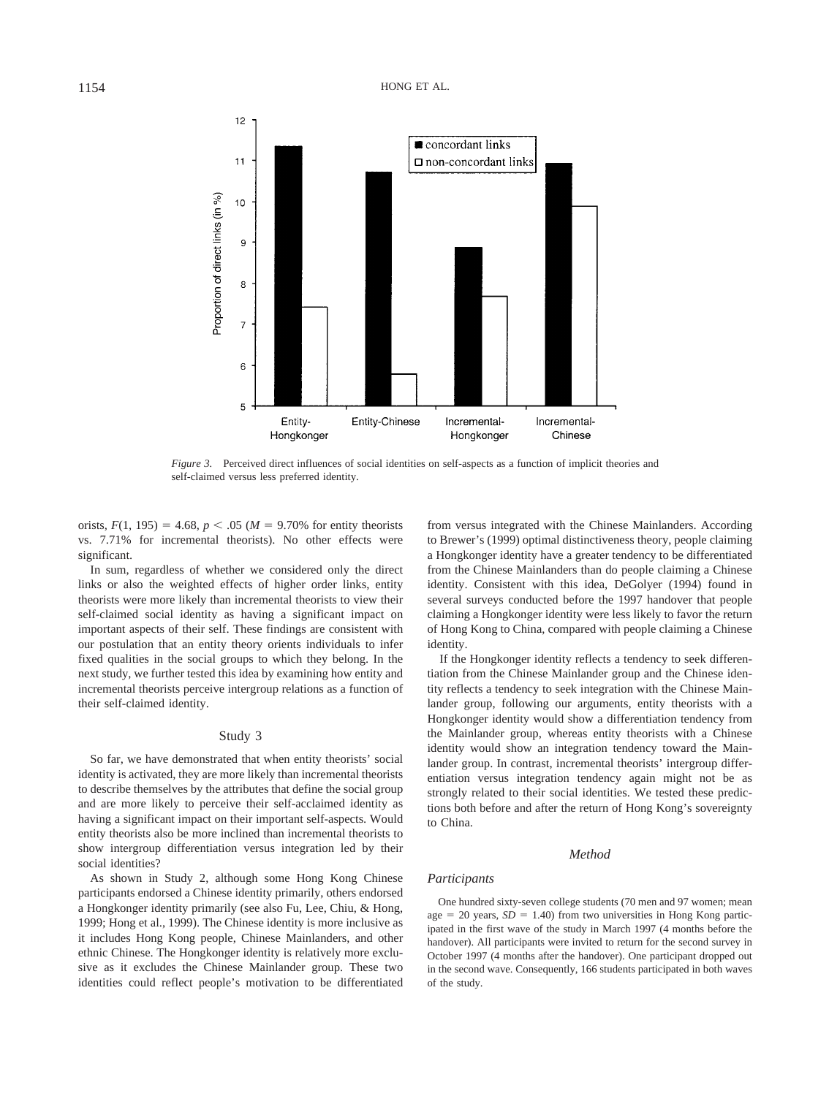

*Figure 3.* Perceived direct influences of social identities on self-aspects as a function of implicit theories and self-claimed versus less preferred identity.

orists,  $F(1, 195) = 4.68$ ,  $p < .05$  ( $M = 9.70\%$  for entity theorists vs. 7.71% for incremental theorists). No other effects were significant.

In sum, regardless of whether we considered only the direct links or also the weighted effects of higher order links, entity theorists were more likely than incremental theorists to view their self-claimed social identity as having a significant impact on important aspects of their self. These findings are consistent with our postulation that an entity theory orients individuals to infer fixed qualities in the social groups to which they belong. In the next study, we further tested this idea by examining how entity and incremental theorists perceive intergroup relations as a function of their self-claimed identity.

#### Study 3

So far, we have demonstrated that when entity theorists' social identity is activated, they are more likely than incremental theorists to describe themselves by the attributes that define the social group and are more likely to perceive their self-acclaimed identity as having a significant impact on their important self-aspects. Would entity theorists also be more inclined than incremental theorists to show intergroup differentiation versus integration led by their social identities?

As shown in Study 2, although some Hong Kong Chinese participants endorsed a Chinese identity primarily, others endorsed a Hongkonger identity primarily (see also Fu, Lee, Chiu, & Hong, 1999; Hong et al., 1999). The Chinese identity is more inclusive as it includes Hong Kong people, Chinese Mainlanders, and other ethnic Chinese. The Hongkonger identity is relatively more exclusive as it excludes the Chinese Mainlander group. These two identities could reflect people's motivation to be differentiated from versus integrated with the Chinese Mainlanders. According to Brewer's (1999) optimal distinctiveness theory, people claiming a Hongkonger identity have a greater tendency to be differentiated from the Chinese Mainlanders than do people claiming a Chinese identity. Consistent with this idea, DeGolyer (1994) found in several surveys conducted before the 1997 handover that people claiming a Hongkonger identity were less likely to favor the return of Hong Kong to China, compared with people claiming a Chinese identity.

If the Hongkonger identity reflects a tendency to seek differentiation from the Chinese Mainlander group and the Chinese identity reflects a tendency to seek integration with the Chinese Mainlander group, following our arguments, entity theorists with a Hongkonger identity would show a differentiation tendency from the Mainlander group, whereas entity theorists with a Chinese identity would show an integration tendency toward the Mainlander group. In contrast, incremental theorists' intergroup differentiation versus integration tendency again might not be as strongly related to their social identities. We tested these predictions both before and after the return of Hong Kong's sovereignty to China.

#### *Method*

#### *Participants*

One hundred sixty-seven college students (70 men and 97 women; mean age  $= 20$  years,  $SD = 1.40$ ) from two universities in Hong Kong participated in the first wave of the study in March 1997 (4 months before the handover). All participants were invited to return for the second survey in October 1997 (4 months after the handover). One participant dropped out in the second wave. Consequently, 166 students participated in both waves of the study.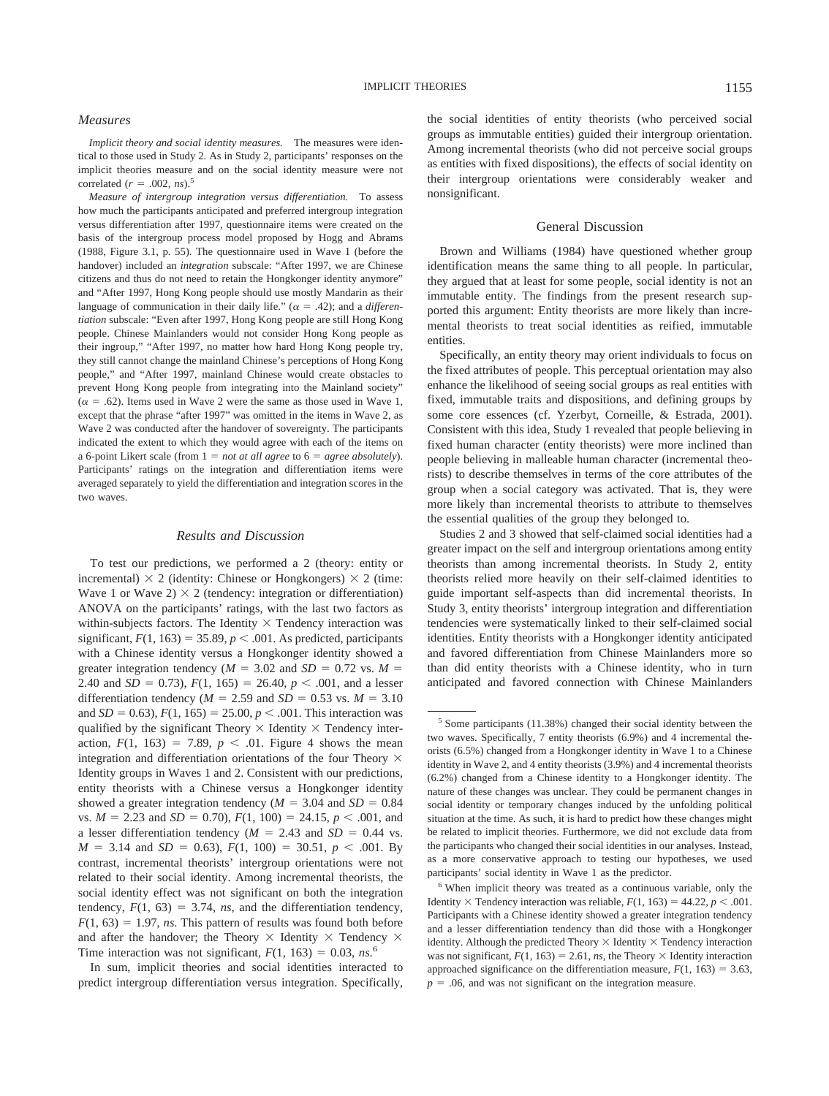#### *Measures*

*Implicit theory and social identity measures.* The measures were identical to those used in Study 2. As in Study 2, participants' responses on the implicit theories measure and on the social identity measure were not correlated  $(r = .002, ns).$ <sup>5</sup>

*Measure of intergroup integration versus differentiation.* To assess how much the participants anticipated and preferred intergroup integration versus differentiation after 1997, questionnaire items were created on the basis of the intergroup process model proposed by Hogg and Abrams (1988, Figure 3.1, p. 55). The questionnaire used in Wave 1 (before the handover) included an *integration* subscale: "After 1997, we are Chinese citizens and thus do not need to retain the Hongkonger identity anymore" and "After 1997, Hong Kong people should use mostly Mandarin as their language of communication in their daily life." ( $\alpha$  = .42); and a *differentiation* subscale: "Even after 1997, Hong Kong people are still Hong Kong people. Chinese Mainlanders would not consider Hong Kong people as their ingroup," "After 1997, no matter how hard Hong Kong people try, they still cannot change the mainland Chinese's perceptions of Hong Kong people," and "After 1997, mainland Chinese would create obstacles to prevent Hong Kong people from integrating into the Mainland society"  $(\alpha = .62)$ . Items used in Wave 2 were the same as those used in Wave 1, except that the phrase "after 1997" was omitted in the items in Wave 2, as Wave 2 was conducted after the handover of sovereignty. The participants indicated the extent to which they would agree with each of the items on a 6-point Likert scale (from  $1 = not$  *at all agree* to  $6 = agree$  *absolutely*). Participants' ratings on the integration and differentiation items were averaged separately to yield the differentiation and integration scores in the two waves.

## *Results and Discussion*

To test our predictions, we performed a 2 (theory: entity or incremental)  $\times$  2 (identity: Chinese or Hongkongers)  $\times$  2 (time: Wave 1 or Wave 2)  $\times$  2 (tendency: integration or differentiation) ANOVA on the participants' ratings, with the last two factors as within-subjects factors. The Identity  $\times$  Tendency interaction was significant,  $F(1, 163) = 35.89$ ,  $p < .001$ . As predicted, participants with a Chinese identity versus a Hongkonger identity showed a greater integration tendency ( $M = 3.02$  and  $SD = 0.72$  vs.  $M =$ 2.40 and *SD* = 0.73),  $F(1, 165) = 26.40, p < .001$ , and a lesser differentiation tendency ( $M = 2.59$  and  $SD = 0.53$  vs.  $M = 3.10$ and *SD* = 0.63),  $F(1, 165) = 25.00, p < .001$ . This interaction was qualified by the significant Theory  $\times$  Identity  $\times$  Tendency interaction,  $F(1, 163) = 7.89$ ,  $p < .01$ . Figure 4 shows the mean integration and differentiation orientations of the four Theory  $\times$ Identity groups in Waves 1 and 2. Consistent with our predictions, entity theorists with a Chinese versus a Hongkonger identity showed a greater integration tendency ( $M = 3.04$  and  $SD = 0.84$ ) vs.  $M = 2.23$  and  $SD = 0.70$ ,  $F(1, 100) = 24.15$ ,  $p < .001$ , and a lesser differentiation tendency ( $M = 2.43$  and  $SD = 0.44$  vs.  $M = 3.14$  and *SD* = 0.63),  $F(1, 100) = 30.51$ ,  $p < .001$ . By contrast, incremental theorists' intergroup orientations were not related to their social identity. Among incremental theorists, the social identity effect was not significant on both the integration tendency,  $F(1, 63) = 3.74$ , *ns*, and the differentiation tendency,  $F(1, 63) = 1.97$ , *ns*. This pattern of results was found both before and after the handover; the Theory  $\times$  Identity  $\times$  Tendency  $\times$ Time interaction was not significant,  $F(1, 163) = 0.03$ ,  $ns<sup>6</sup>$ 

In sum, implicit theories and social identities interacted to predict intergroup differentiation versus integration. Specifically, the social identities of entity theorists (who perceived social groups as immutable entities) guided their intergroup orientation. Among incremental theorists (who did not perceive social groups as entities with fixed dispositions), the effects of social identity on their intergroup orientations were considerably weaker and nonsignificant.

# General Discussion

Brown and Williams (1984) have questioned whether group identification means the same thing to all people. In particular, they argued that at least for some people, social identity is not an immutable entity. The findings from the present research supported this argument: Entity theorists are more likely than incremental theorists to treat social identities as reified, immutable entities.

Specifically, an entity theory may orient individuals to focus on the fixed attributes of people. This perceptual orientation may also enhance the likelihood of seeing social groups as real entities with fixed, immutable traits and dispositions, and defining groups by some core essences (cf. Yzerbyt, Corneille, & Estrada, 2001). Consistent with this idea, Study 1 revealed that people believing in fixed human character (entity theorists) were more inclined than people believing in malleable human character (incremental theorists) to describe themselves in terms of the core attributes of the group when a social category was activated. That is, they were more likely than incremental theorists to attribute to themselves the essential qualities of the group they belonged to.

Studies 2 and 3 showed that self-claimed social identities had a greater impact on the self and intergroup orientations among entity theorists than among incremental theorists. In Study 2, entity theorists relied more heavily on their self-claimed identities to guide important self-aspects than did incremental theorists. In Study 3, entity theorists' intergroup integration and differentiation tendencies were systematically linked to their self-claimed social identities. Entity theorists with a Hongkonger identity anticipated and favored differentiation from Chinese Mainlanders more so than did entity theorists with a Chinese identity, who in turn anticipated and favored connection with Chinese Mainlanders

 $5$  Some participants (11.38%) changed their social identity between the two waves. Specifically, 7 entity theorists (6.9%) and 4 incremental theorists (6.5%) changed from a Hongkonger identity in Wave 1 to a Chinese identity in Wave 2, and 4 entity theorists (3.9%) and 4 incremental theorists (6.2%) changed from a Chinese identity to a Hongkonger identity. The nature of these changes was unclear. They could be permanent changes in social identity or temporary changes induced by the unfolding political situation at the time. As such, it is hard to predict how these changes might be related to implicit theories. Furthermore, we did not exclude data from the participants who changed their social identities in our analyses. Instead, as a more conservative approach to testing our hypotheses, we used participants' social identity in Wave 1 as the predictor.

<sup>6</sup> When implicit theory was treated as a continuous variable, only the Identity  $\times$  Tendency interaction was reliable,  $F(1, 163) = 44.22$ ,  $p < .001$ . Participants with a Chinese identity showed a greater integration tendency and a lesser differentiation tendency than did those with a Hongkonger identity. Although the predicted Theory  $\times$  Identity  $\times$  Tendency interaction was not significant,  $F(1, 163) = 2.61$ , *ns*, the Theory  $\times$  Identity interaction approached significance on the differentiation measure,  $F(1, 163) = 3.63$ ,  $p = .06$ , and was not significant on the integration measure.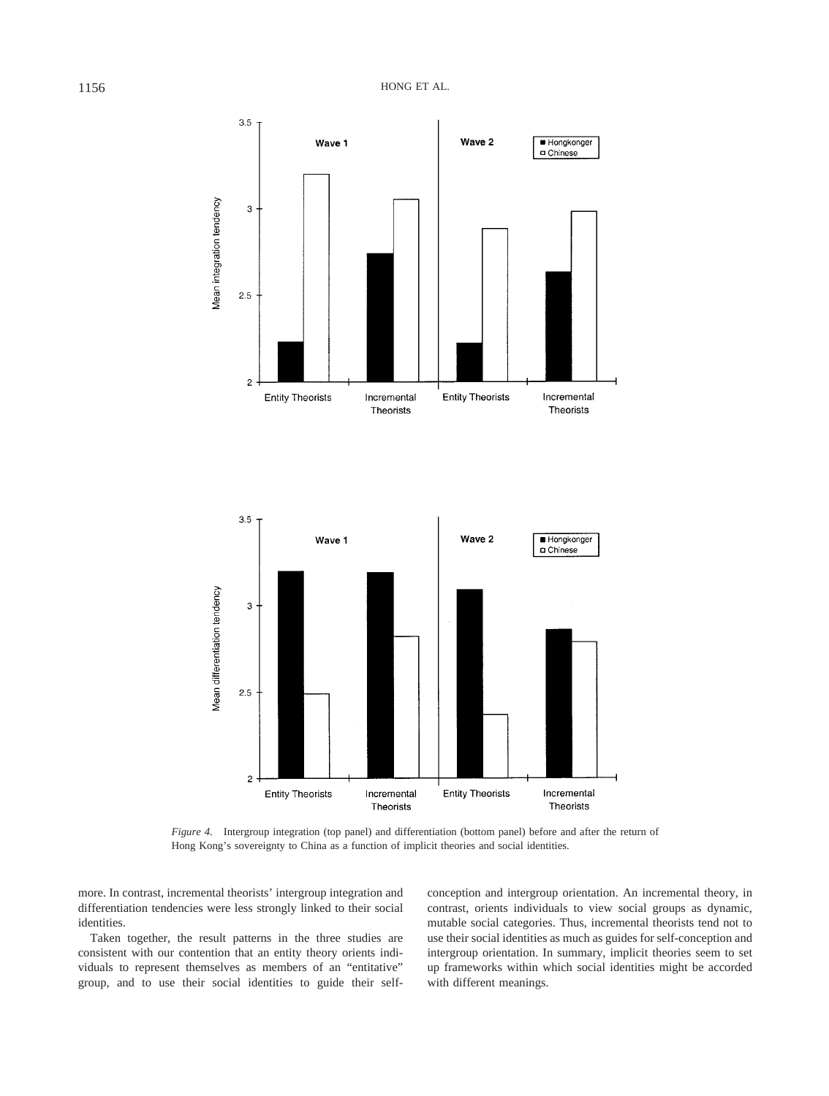

*Figure 4.* Intergroup integration (top panel) and differentiation (bottom panel) before and after the return of Hong Kong's sovereignty to China as a function of implicit theories and social identities.

more. In contrast, incremental theorists' intergroup integration and differentiation tendencies were less strongly linked to their social identities.

Taken together, the result patterns in the three studies are consistent with our contention that an entity theory orients individuals to represent themselves as members of an "entitative" group, and to use their social identities to guide their selfconception and intergroup orientation. An incremental theory, in contrast, orients individuals to view social groups as dynamic, mutable social categories. Thus, incremental theorists tend not to use their social identities as much as guides for self-conception and intergroup orientation. In summary, implicit theories seem to set up frameworks within which social identities might be accorded with different meanings.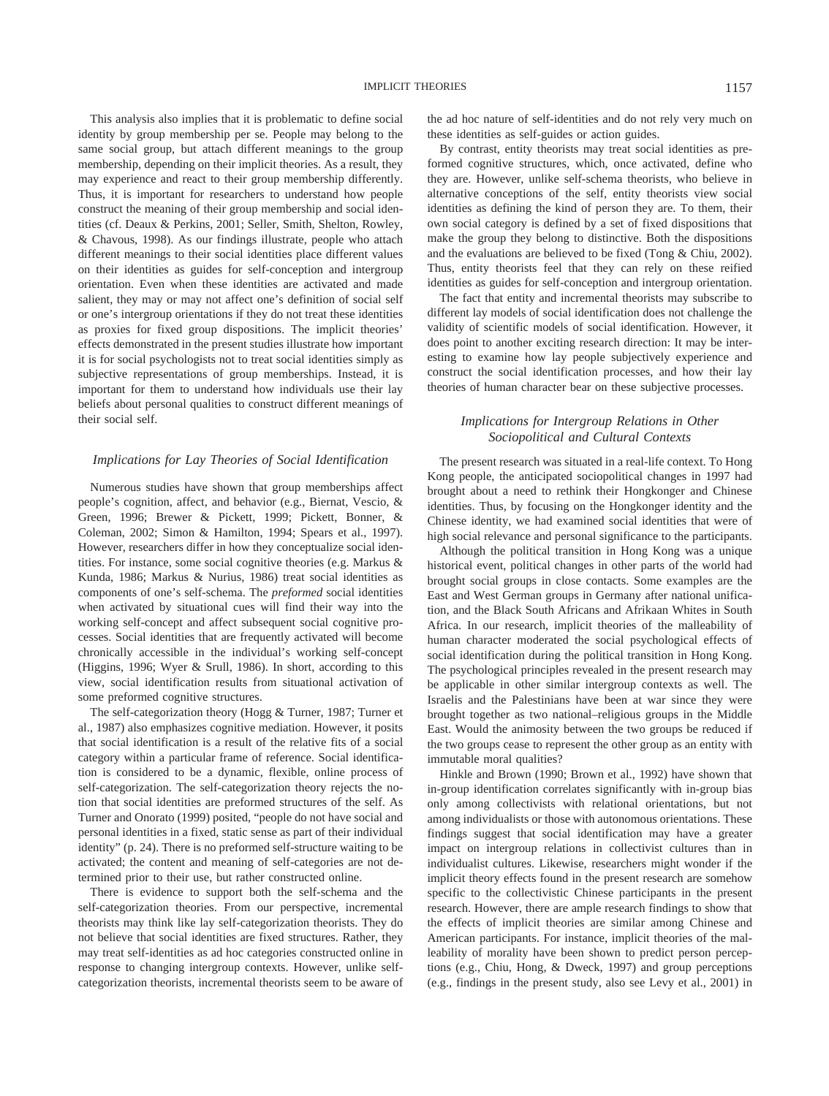This analysis also implies that it is problematic to define social identity by group membership per se. People may belong to the same social group, but attach different meanings to the group membership, depending on their implicit theories. As a result, they may experience and react to their group membership differently. Thus, it is important for researchers to understand how people construct the meaning of their group membership and social identities (cf. Deaux & Perkins, 2001; Seller, Smith, Shelton, Rowley, & Chavous, 1998). As our findings illustrate, people who attach different meanings to their social identities place different values on their identities as guides for self-conception and intergroup orientation. Even when these identities are activated and made salient, they may or may not affect one's definition of social self or one's intergroup orientations if they do not treat these identities as proxies for fixed group dispositions. The implicit theories' effects demonstrated in the present studies illustrate how important it is for social psychologists not to treat social identities simply as subjective representations of group memberships. Instead, it is important for them to understand how individuals use their lay beliefs about personal qualities to construct different meanings of their social self.

# *Implications for Lay Theories of Social Identification*

Numerous studies have shown that group memberships affect people's cognition, affect, and behavior (e.g., Biernat, Vescio, & Green, 1996; Brewer & Pickett, 1999; Pickett, Bonner, & Coleman, 2002; Simon & Hamilton, 1994; Spears et al., 1997). However, researchers differ in how they conceptualize social identities. For instance, some social cognitive theories (e.g. Markus & Kunda, 1986; Markus & Nurius, 1986) treat social identities as components of one's self-schema. The *preformed* social identities when activated by situational cues will find their way into the working self-concept and affect subsequent social cognitive processes. Social identities that are frequently activated will become chronically accessible in the individual's working self-concept (Higgins, 1996; Wyer & Srull, 1986). In short, according to this view, social identification results from situational activation of some preformed cognitive structures.

The self-categorization theory (Hogg & Turner, 1987; Turner et al., 1987) also emphasizes cognitive mediation. However, it posits that social identification is a result of the relative fits of a social category within a particular frame of reference. Social identification is considered to be a dynamic, flexible, online process of self-categorization. The self-categorization theory rejects the notion that social identities are preformed structures of the self. As Turner and Onorato (1999) posited, "people do not have social and personal identities in a fixed, static sense as part of their individual identity" (p. 24). There is no preformed self-structure waiting to be activated; the content and meaning of self-categories are not determined prior to their use, but rather constructed online.

There is evidence to support both the self-schema and the self-categorization theories. From our perspective, incremental theorists may think like lay self-categorization theorists. They do not believe that social identities are fixed structures. Rather, they may treat self-identities as ad hoc categories constructed online in response to changing intergroup contexts. However, unlike selfcategorization theorists, incremental theorists seem to be aware of the ad hoc nature of self-identities and do not rely very much on these identities as self-guides or action guides.

By contrast, entity theorists may treat social identities as preformed cognitive structures, which, once activated, define who they are. However, unlike self-schema theorists, who believe in alternative conceptions of the self, entity theorists view social identities as defining the kind of person they are. To them, their own social category is defined by a set of fixed dispositions that make the group they belong to distinctive. Both the dispositions and the evaluations are believed to be fixed (Tong & Chiu, 2002). Thus, entity theorists feel that they can rely on these reified identities as guides for self-conception and intergroup orientation.

The fact that entity and incremental theorists may subscribe to different lay models of social identification does not challenge the validity of scientific models of social identification. However, it does point to another exciting research direction: It may be interesting to examine how lay people subjectively experience and construct the social identification processes, and how their lay theories of human character bear on these subjective processes.

# *Implications for Intergroup Relations in Other Sociopolitical and Cultural Contexts*

The present research was situated in a real-life context. To Hong Kong people, the anticipated sociopolitical changes in 1997 had brought about a need to rethink their Hongkonger and Chinese identities. Thus, by focusing on the Hongkonger identity and the Chinese identity, we had examined social identities that were of high social relevance and personal significance to the participants.

Although the political transition in Hong Kong was a unique historical event, political changes in other parts of the world had brought social groups in close contacts. Some examples are the East and West German groups in Germany after national unification, and the Black South Africans and Afrikaan Whites in South Africa. In our research, implicit theories of the malleability of human character moderated the social psychological effects of social identification during the political transition in Hong Kong. The psychological principles revealed in the present research may be applicable in other similar intergroup contexts as well. The Israelis and the Palestinians have been at war since they were brought together as two national–religious groups in the Middle East. Would the animosity between the two groups be reduced if the two groups cease to represent the other group as an entity with immutable moral qualities?

Hinkle and Brown (1990; Brown et al., 1992) have shown that in-group identification correlates significantly with in-group bias only among collectivists with relational orientations, but not among individualists or those with autonomous orientations. These findings suggest that social identification may have a greater impact on intergroup relations in collectivist cultures than in individualist cultures. Likewise, researchers might wonder if the implicit theory effects found in the present research are somehow specific to the collectivistic Chinese participants in the present research. However, there are ample research findings to show that the effects of implicit theories are similar among Chinese and American participants. For instance, implicit theories of the malleability of morality have been shown to predict person perceptions (e.g., Chiu, Hong, & Dweck, 1997) and group perceptions (e.g., findings in the present study, also see Levy et al., 2001) in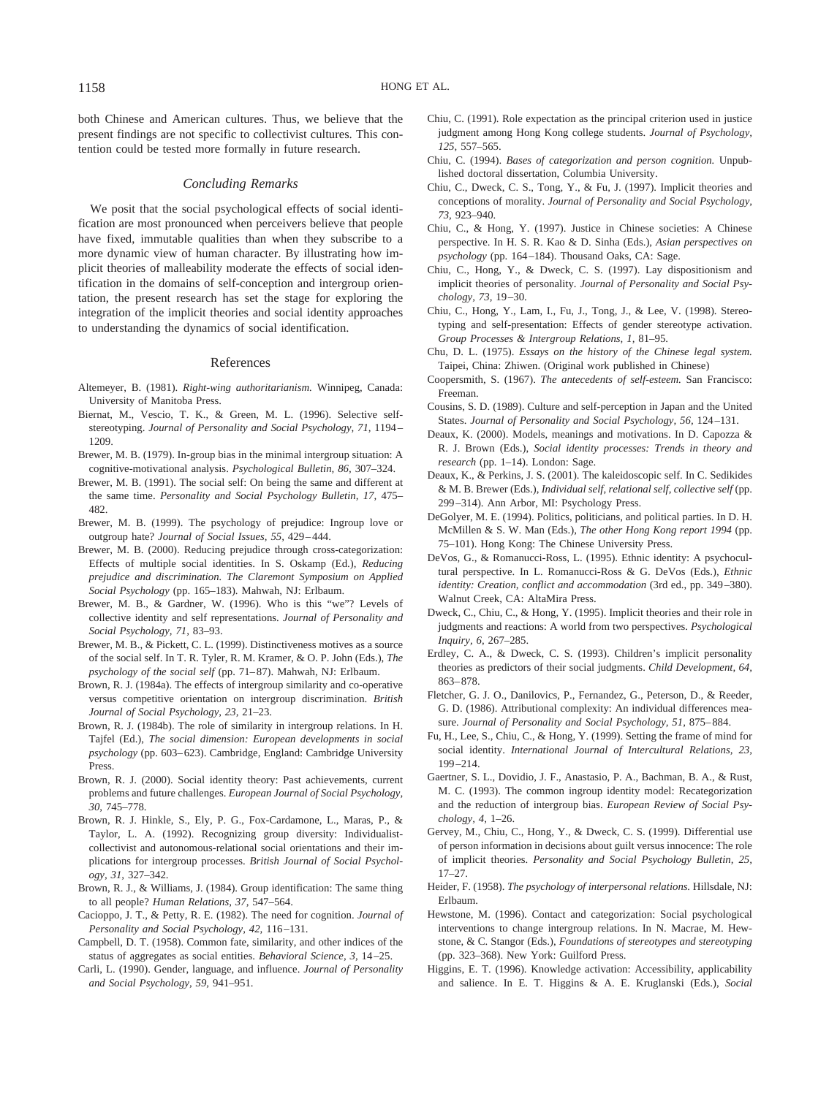both Chinese and American cultures. Thus, we believe that the present findings are not specific to collectivist cultures. This contention could be tested more formally in future research.

## *Concluding Remarks*

We posit that the social psychological effects of social identification are most pronounced when perceivers believe that people have fixed, immutable qualities than when they subscribe to a more dynamic view of human character. By illustrating how implicit theories of malleability moderate the effects of social identification in the domains of self-conception and intergroup orientation, the present research has set the stage for exploring the integration of the implicit theories and social identity approaches to understanding the dynamics of social identification.

## References

- Altemeyer, B. (1981). *Right-wing authoritarianism.* Winnipeg, Canada: University of Manitoba Press.
- Biernat, M., Vescio, T. K., & Green, M. L. (1996). Selective selfstereotyping. *Journal of Personality and Social Psychology, 71,* 1194– 1209.
- Brewer, M. B. (1979). In-group bias in the minimal intergroup situation: A cognitive-motivational analysis. *Psychological Bulletin, 86,* 307–324.
- Brewer, M. B. (1991). The social self: On being the same and different at the same time. *Personality and Social Psychology Bulletin, 17,* 475– 482.
- Brewer, M. B. (1999). The psychology of prejudice: Ingroup love or outgroup hate? *Journal of Social Issues, 55,* 429–444.
- Brewer, M. B. (2000). Reducing prejudice through cross-categorization: Effects of multiple social identities. In S. Oskamp (Ed.), *Reducing prejudice and discrimination. The Claremont Symposium on Applied Social Psychology* (pp. 165–183). Mahwah, NJ: Erlbaum.
- Brewer, M. B., & Gardner, W. (1996). Who is this "we"? Levels of collective identity and self representations. *Journal of Personality and Social Psychology, 71,* 83–93.
- Brewer, M. B., & Pickett, C. L. (1999). Distinctiveness motives as a source of the social self. In T. R. Tyler, R. M. Kramer, & O. P. John (Eds.), *The psychology of the social self* (pp. 71–87). Mahwah, NJ: Erlbaum.
- Brown, R. J. (1984a). The effects of intergroup similarity and co-operative versus competitive orientation on intergroup discrimination. *British Journal of Social Psychology, 23,* 21–23.
- Brown, R. J. (1984b). The role of similarity in intergroup relations. In H. Tajfel (Ed.), *The social dimension: European developments in social psychology* (pp. 603–623). Cambridge, England: Cambridge University Press.
- Brown, R. J. (2000). Social identity theory: Past achievements, current problems and future challenges. *European Journal of Social Psychology, 30,* 745–778.
- Brown, R. J. Hinkle, S., Ely, P. G., Fox-Cardamone, L., Maras, P., & Taylor, L. A. (1992). Recognizing group diversity: Individualistcollectivist and autonomous-relational social orientations and their implications for intergroup processes. *British Journal of Social Psychology, 31,* 327–342.
- Brown, R. J., & Williams, J. (1984). Group identification: The same thing to all people? *Human Relations, 37,* 547–564.
- Cacioppo, J. T., & Petty, R. E. (1982). The need for cognition. *Journal of Personality and Social Psychology, 42,* 116–131.
- Campbell, D. T. (1958). Common fate, similarity, and other indices of the status of aggregates as social entities. *Behavioral Science, 3,* 14–25.
- Carli, L. (1990). Gender, language, and influence. *Journal of Personality and Social Psychology, 59,* 941–951.
- Chiu, C. (1991). Role expectation as the principal criterion used in justice judgment among Hong Kong college students. *Journal of Psychology, 125,* 557–565.
- Chiu, C. (1994). *Bases of categorization and person cognition.* Unpublished doctoral dissertation, Columbia University.
- Chiu, C., Dweck, C. S., Tong, Y., & Fu, J. (1997). Implicit theories and conceptions of morality. *Journal of Personality and Social Psychology, 73,* 923–940.
- Chiu, C., & Hong, Y. (1997). Justice in Chinese societies: A Chinese perspective. In H. S. R. Kao & D. Sinha (Eds.), *Asian perspectives on psychology* (pp. 164–184). Thousand Oaks, CA: Sage.
- Chiu, C., Hong, Y., & Dweck, C. S. (1997). Lay dispositionism and implicit theories of personality. *Journal of Personality and Social Psychology, 73,* 19–30.
- Chiu, C., Hong, Y., Lam, I., Fu, J., Tong, J., & Lee, V. (1998). Stereotyping and self-presentation: Effects of gender stereotype activation. *Group Processes & Intergroup Relations, 1,* 81–95.
- Chu, D. L. (1975). *Essays on the history of the Chinese legal system.* Taipei, China: Zhiwen. (Original work published in Chinese)
- Coopersmith, S. (1967). *The antecedents of self-esteem.* San Francisco: Freeman.
- Cousins, S. D. (1989). Culture and self-perception in Japan and the United States. *Journal of Personality and Social Psychology, 56,* 124–131.
- Deaux, K. (2000). Models, meanings and motivations. In D. Capozza & R. J. Brown (Eds.), *Social identity processes: Trends in theory and research* (pp. 1–14). London: Sage.
- Deaux, K., & Perkins, J. S. (2001). The kaleidoscopic self. In C. Sedikides & M. B. Brewer (Eds.), *Individual self, relational self, collective self* (pp. 299–314). Ann Arbor, MI: Psychology Press.
- DeGolyer, M. E. (1994). Politics, politicians, and political parties. In D. H. McMillen & S. W. Man (Eds.), *The other Hong Kong report 1994* (pp. 75–101). Hong Kong: The Chinese University Press.
- DeVos, G., & Romanucci-Ross, L. (1995). Ethnic identity: A psychocultural perspective. In L. Romanucci-Ross & G. DeVos (Eds.), *Ethnic identity: Creation, conflict and accommodation* (3rd ed., pp. 349–380). Walnut Creek, CA: AltaMira Press.
- Dweck, C., Chiu, C., & Hong, Y. (1995). Implicit theories and their role in judgments and reactions: A world from two perspectives. *Psychological Inquiry, 6,* 267–285.
- Erdley, C. A., & Dweck, C. S. (1993). Children's implicit personality theories as predictors of their social judgments. *Child Development, 64,* 863–878.
- Fletcher, G. J. O., Danilovics, P., Fernandez, G., Peterson, D., & Reeder, G. D. (1986). Attributional complexity: An individual differences measure. *Journal of Personality and Social Psychology, 51,* 875–884.
- Fu, H., Lee, S., Chiu, C., & Hong, Y. (1999). Setting the frame of mind for social identity. *International Journal of Intercultural Relations, 23,* 199–214.
- Gaertner, S. L., Dovidio, J. F., Anastasio, P. A., Bachman, B. A., & Rust, M. C. (1993). The common ingroup identity model: Recategorization and the reduction of intergroup bias. *European Review of Social Psychology, 4,* 1–26.
- Gervey, M., Chiu, C., Hong, Y., & Dweck, C. S. (1999). Differential use of person information in decisions about guilt versus innocence: The role of implicit theories. *Personality and Social Psychology Bulletin, 25,* 17–27.
- Heider, F. (1958). *The psychology of interpersonal relations.* Hillsdale, NJ: Erlbaum.
- Hewstone, M. (1996). Contact and categorization: Social psychological interventions to change intergroup relations. In N. Macrae, M. Hewstone, & C. Stangor (Eds.), *Foundations of stereotypes and stereotyping* (pp. 323–368). New York: Guilford Press.
- Higgins, E. T. (1996). Knowledge activation: Accessibility, applicability and salience. In E. T. Higgins & A. E. Kruglanski (Eds.), *Social*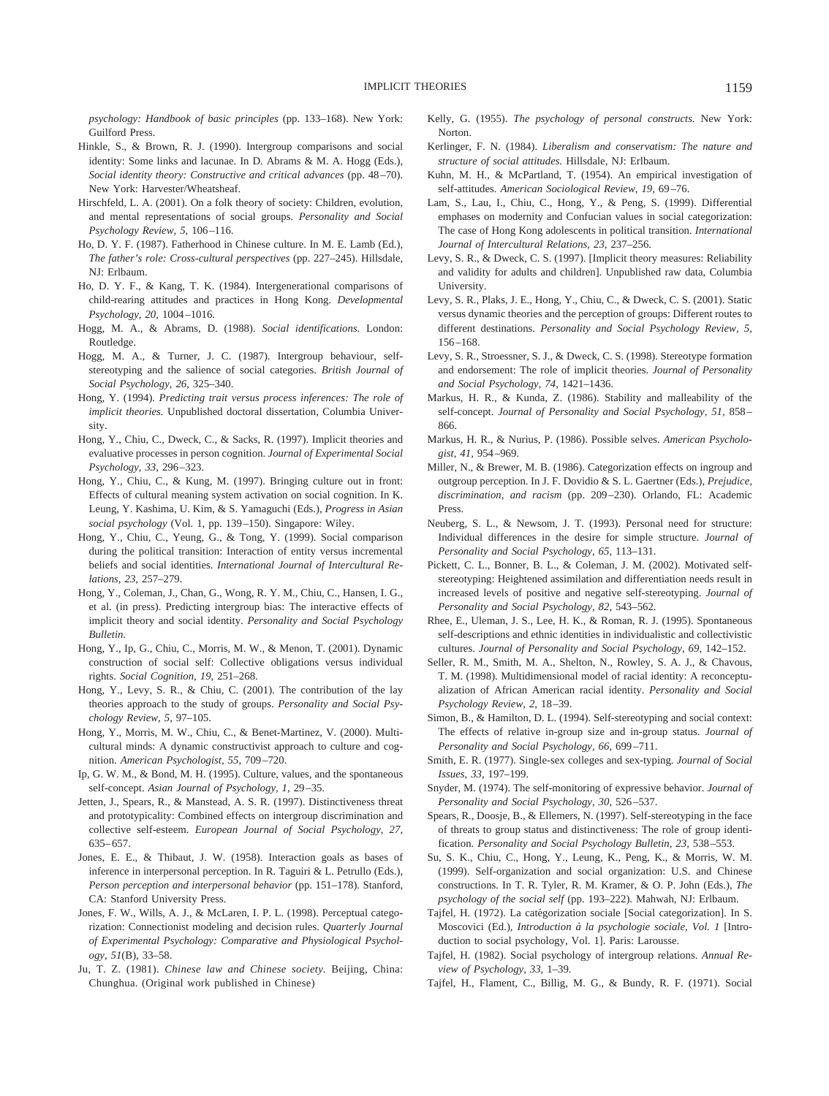*psychology: Handbook of basic principles* (pp. 133–168). New York: Guilford Press.

- Hinkle, S., & Brown, R. J. (1990). Intergroup comparisons and social identity: Some links and lacunae. In D. Abrams & M. A. Hogg (Eds.), *Social identity theory: Constructive and critical advances* (pp. 48–70). New York: Harvester/Wheatsheaf.
- Hirschfeld, L. A. (2001). On a folk theory of society: Children, evolution, and mental representations of social groups. *Personality and Social Psychology Review, 5,* 106–116.
- Ho, D. Y. F. (1987). Fatherhood in Chinese culture. In M. E. Lamb (Ed.), *The father's role: Cross-cultural perspectives* (pp. 227–245). Hillsdale, NJ: Erlbaum.
- Ho, D. Y. F., & Kang, T. K. (1984). Intergenerational comparisons of child-rearing attitudes and practices in Hong Kong. *Developmental Psychology, 20,* 1004–1016.
- Hogg, M. A., & Abrams, D. (1988). *Social identifications.* London: Routledge.
- Hogg, M. A., & Turner, J. C. (1987). Intergroup behaviour, selfstereotyping and the salience of social categories. *British Journal of Social Psychology, 26,* 325–340.
- Hong, Y. (1994). *Predicting trait versus process inferences: The role of implicit theories.* Unpublished doctoral dissertation, Columbia University.
- Hong, Y., Chiu, C., Dweck, C., & Sacks, R. (1997). Implicit theories and evaluative processes in person cognition. *Journal of Experimental Social Psychology, 33,* 296–323.
- Hong, Y., Chiu, C., & Kung, M. (1997). Bringing culture out in front: Effects of cultural meaning system activation on social cognition. In K. Leung, Y. Kashima, U. Kim, & S. Yamaguchi (Eds.), *Progress in Asian social psychology* (Vol. 1, pp. 139–150). Singapore: Wiley.
- Hong, Y., Chiu, C., Yeung, G., & Tong, Y. (1999). Social comparison during the political transition: Interaction of entity versus incremental beliefs and social identities. *International Journal of Intercultural Relations, 23,* 257–279.
- Hong, Y., Coleman, J., Chan, G., Wong, R. Y. M., Chiu, C., Hansen, I. G., et al. (in press). Predicting intergroup bias: The interactive effects of implicit theory and social identity. *Personality and Social Psychology Bulletin.*
- Hong, Y., Ip, G., Chiu, C., Morris, M. W., & Menon, T. (2001). Dynamic construction of social self: Collective obligations versus individual rights. *Social Cognition, 19,* 251–268.
- Hong, Y., Levy, S. R., & Chiu, C. (2001). The contribution of the lay theories approach to the study of groups. *Personality and Social Psychology Review, 5,* 97–105.
- Hong, Y., Morris, M. W., Chiu, C., & Benet-Martinez, V. (2000). Multicultural minds: A dynamic constructivist approach to culture and cognition. *American Psychologist, 55,* 709–720.
- Ip, G. W. M., & Bond, M. H. (1995). Culture, values, and the spontaneous self-concept. *Asian Journal of Psychology, 1,* 29–35.
- Jetten, J., Spears, R., & Manstead, A. S. R. (1997). Distinctiveness threat and prototypicality: Combined effects on intergroup discrimination and collective self-esteem. *European Journal of Social Psychology, 27,* 635–657.
- Jones, E. E., & Thibaut, J. W. (1958). Interaction goals as bases of inference in interpersonal perception. In R. Taguiri & L. Petrullo (Eds.), *Person perception and interpersonal behavior* (pp. 151–178). Stanford, CA: Stanford University Press.
- Jones, F. W., Wills, A. J., & McLaren, I. P. L. (1998). Perceptual categorization: Connectionist modeling and decision rules. *Quarterly Journal of Experimental Psychology: Comparative and Physiological Psychology, 51*(B), 33–58.
- Ju, T. Z. (1981). *Chinese law and Chinese society.* Beijing, China: Chunghua. (Original work published in Chinese)
- Kelly, G. (1955). *The psychology of personal constructs.* New York: Norton.
- Kerlinger, F. N. (1984). *Liberalism and conservatism: The nature and structure of social attitudes.* Hillsdale, NJ: Erlbaum.
- Kuhn, M. H., & McPartland, T. (1954). An empirical investigation of self-attitudes. *American Sociological Review, 19,* 69–76.
- Lam, S., Lau, I., Chiu, C., Hong, Y., & Peng, S. (1999). Differential emphases on modernity and Confucian values in social categorization: The case of Hong Kong adolescents in political transition. *International Journal of Intercultural Relations, 23,* 237–256.
- Levy, S. R., & Dweck, C. S. (1997). [Implicit theory measures: Reliability and validity for adults and children]. Unpublished raw data, Columbia University.
- Levy, S. R., Plaks, J. E., Hong, Y., Chiu, C., & Dweck, C. S. (2001). Static versus dynamic theories and the perception of groups: Different routes to different destinations. *Personality and Social Psychology Review, 5,* 156–168.
- Levy, S. R., Stroessner, S. J., & Dweck, C. S. (1998). Stereotype formation and endorsement: The role of implicit theories. *Journal of Personality and Social Psychology, 74,* 1421–1436.
- Markus, H. R., & Kunda, Z. (1986). Stability and malleability of the self-concept. *Journal of Personality and Social Psychology, 51,* 858– 866.
- Markus, H. R., & Nurius, P. (1986). Possible selves. *American Psychologist, 41,* 954–969.
- Miller, N., & Brewer, M. B. (1986). Categorization effects on ingroup and outgroup perception. In J. F. Dovidio & S. L. Gaertner (Eds.), *Prejudice, discrimination, and racism* (pp. 209–230). Orlando, FL: Academic Press.
- Neuberg, S. L., & Newsom, J. T. (1993). Personal need for structure: Individual differences in the desire for simple structure. *Journal of Personality and Social Psychology, 65,* 113–131.
- Pickett, C. L., Bonner, B. L., & Coleman, J. M. (2002). Motivated selfstereotyping: Heightened assimilation and differentiation needs result in increased levels of positive and negative self-stereotyping. *Journal of Personality and Social Psychology, 82,* 543–562.
- Rhee, E., Uleman, J. S., Lee, H. K., & Roman, R. J. (1995). Spontaneous self-descriptions and ethnic identities in individualistic and collectivistic cultures. *Journal of Personality and Social Psychology, 69,* 142–152.
- Seller, R. M., Smith, M. A., Shelton, N., Rowley, S. A. J., & Chavous, T. M. (1998). Multidimensional model of racial identity: A reconceptualization of African American racial identity. *Personality and Social Psychology Review, 2,* 18–39.
- Simon, B., & Hamilton, D. L. (1994). Self-stereotyping and social context: The effects of relative in-group size and in-group status. *Journal of Personality and Social Psychology, 66,* 699–711.
- Smith, E. R. (1977). Single-sex colleges and sex-typing. *Journal of Social Issues, 33,* 197–199.
- Snyder, M. (1974). The self-monitoring of expressive behavior. *Journal of Personality and Social Psychology, 30,* 526–537.
- Spears, R., Doosje, B., & Ellemers, N. (1997). Self-stereotyping in the face of threats to group status and distinctiveness: The role of group identification. *Personality and Social Psychology Bulletin, 23,* 538–553.
- Su, S. K., Chiu, C., Hong, Y., Leung, K., Peng, K., & Morris, W. M. (1999). Self-organization and social organization: U.S. and Chinese constructions. In T. R. Tyler, R. M. Kramer, & O. P. John (Eds.), *The psychology of the social self* (pp. 193–222). Mahwah, NJ: Erlbaum.
- Tajfel, H. (1972). La catégorization sociale [Social categorization]. In S. Moscovici (Ed.), *Introduction a` la psychologie sociale, Vol. 1* [Introduction to social psychology, Vol. 1]. Paris: Larousse.
- Tajfel, H. (1982). Social psychology of intergroup relations. *Annual Review of Psychology, 33,* 1–39.
- Tajfel, H., Flament, C., Billig, M. G., & Bundy, R. F. (1971). Social